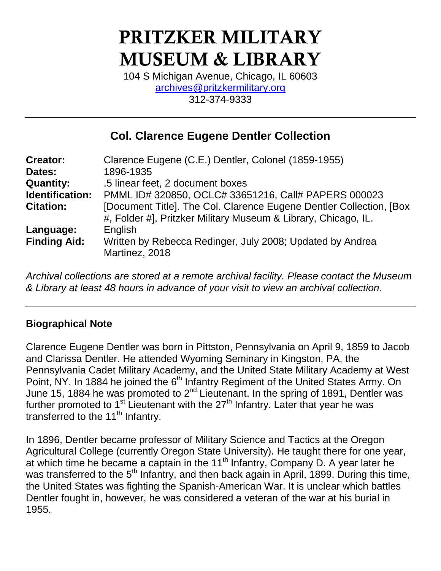# **PRITZKER MILITARY MUSEUM & LIBRARY**

104 S Michigan Avenue, Chicago, IL 60603 [archives@pritzkermilitary.org](mailto:archives@pritzkermilitary.org) 312-374-9333

# **Col. Clarence Eugene Dentler Collection**

| <b>Creator:</b>     | Clarence Eugene (C.E.) Dentler, Colonel (1859-1955)                                                                                    |
|---------------------|----------------------------------------------------------------------------------------------------------------------------------------|
| Dates:              | 1896-1935                                                                                                                              |
| <b>Quantity:</b>    | .5 linear feet, 2 document boxes                                                                                                       |
| Identification:     | PMML ID# 320850, OCLC# 33651216, Call# PAPERS 000023                                                                                   |
| <b>Citation:</b>    | [Document Title]. The Col. Clarence Eugene Dentler Collection, [Box]<br>#, Folder #], Pritzker Military Museum & Library, Chicago, IL. |
| Language:           | English                                                                                                                                |
| <b>Finding Aid:</b> | Written by Rebecca Redinger, July 2008; Updated by Andrea<br>Martinez, 2018                                                            |
|                     |                                                                                                                                        |

*Archival collections are stored at a remote archival facility. Please contact the Museum & Library at least 48 hours in advance of your visit to view an archival collection.*

# **Biographical Note**

Clarence Eugene Dentler was born in Pittston, Pennsylvania on April 9, 1859 to Jacob and Clarissa Dentler. He attended Wyoming Seminary in Kingston, PA, the Pennsylvania Cadet Military Academy, and the United State Military Academy at West Point, NY. In 1884 he joined the 6<sup>th</sup> Infantry Regiment of the United States Army. On June 15, 1884 he was promoted to  $2<sup>nd</sup>$  Lieutenant. In the spring of 1891, Dentler was further promoted to  $1<sup>st</sup>$  Lieutenant with the 27<sup>th</sup> Infantry. Later that year he was transferred to the 11<sup>th</sup> Infantry.

In 1896, Dentler became professor of Military Science and Tactics at the Oregon Agricultural College (currently Oregon State University). He taught there for one year, at which time he became a captain in the 11<sup>th</sup> Infantry, Company D. A year later he was transferred to the 5<sup>th</sup> Infantry, and then back again in April, 1899. During this time, the United States was fighting the Spanish-American War. It is unclear which battles Dentler fought in, however, he was considered a veteran of the war at his burial in 1955.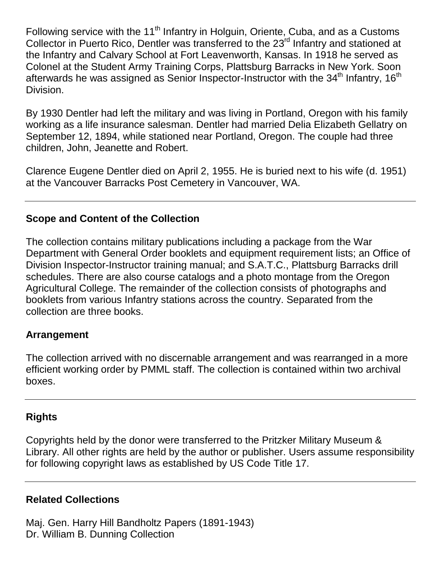Following service with the 11<sup>th</sup> Infantry in Holguin, Oriente, Cuba, and as a Customs Collector in Puerto Rico, Dentler was transferred to the 23<sup>rd</sup> Infantry and stationed at the Infantry and Calvary School at Fort Leavenworth, Kansas. In 1918 he served as Colonel at the Student Army Training Corps, Plattsburg Barracks in New York. Soon afterwards he was assigned as Senior Inspector-Instructor with the  $34<sup>th</sup>$  Infantry,  $16<sup>th</sup>$ Division.

By 1930 Dentler had left the military and was living in Portland, Oregon with his family working as a life insurance salesman. Dentler had married Delia Elizabeth Gellatry on September 12, 1894, while stationed near Portland, Oregon. The couple had three children, John, Jeanette and Robert.

Clarence Eugene Dentler died on April 2, 1955. He is buried next to his wife (d. 1951) at the Vancouver Barracks Post Cemetery in Vancouver, WA.

#### **Scope and Content of the Collection**

The collection contains military publications including a package from the War Department with General Order booklets and equipment requirement lists; an Office of Division Inspector-Instructor training manual; and S.A.T.C., Plattsburg Barracks drill schedules. There are also course catalogs and a photo montage from the Oregon Agricultural College. The remainder of the collection consists of photographs and booklets from various Infantry stations across the country. Separated from the collection are three books.

#### **Arrangement**

The collection arrived with no discernable arrangement and was rearranged in a more efficient working order by PMML staff. The collection is contained within two archival boxes.

# **Rights**

Copyrights held by the donor were transferred to the Pritzker Military Museum & Library. All other rights are held by the author or publisher. Users assume responsibility for following copyright laws as established by US Code Title 17.

# **Related Collections**

Maj. Gen. Harry Hill Bandholtz Papers (1891-1943) Dr. William B. Dunning Collection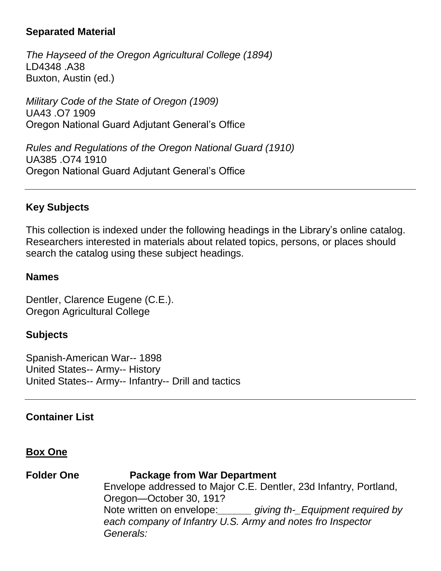#### **Separated Material**

*The Hayseed of the Oregon Agricultural College (1894)* LD4348 .A38 Buxton, Austin (ed.)

*Military Code of the State of Oregon (1909)* UA43 .O7 1909 Oregon National Guard Adjutant General's Office

*Rules and Regulations of the Oregon National Guard (1910)* UA385 .O74 1910 Oregon National Guard Adjutant General's Office

#### **Key Subjects**

This collection is indexed under the following headings in the Library's online catalog. Researchers interested in materials about related topics, persons, or places should search the catalog using these subject headings.

#### **Names**

Dentler, Clarence Eugene (C.E.). Oregon Agricultural College

#### **Subjects**

Spanish-American War-- 1898 United States-- Army-- History United States-- Army-- Infantry-- Drill and tactics

#### **Container List**

#### **Box One**

#### **Folder One Package from War Department**

Envelope addressed to Major C.E. Dentler, 23d Infantry, Portland, Oregon—October 30, 191? Note written on envelope:*\_\_\_\_\_\_ giving th-\_Equipment required by each company of Infantry U.S. Army and notes fro Inspector Generals:*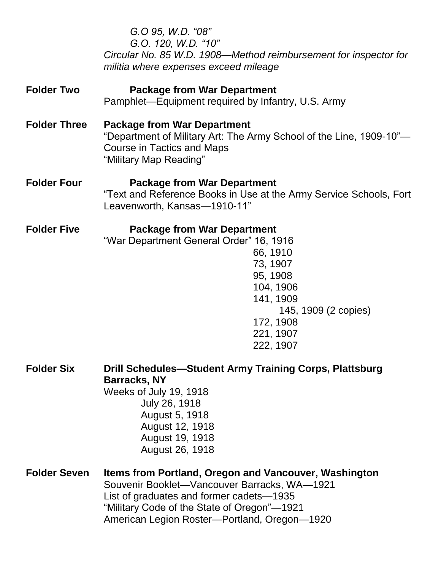|                     | G.O 95, W.D. "08"<br>G.O. 120, W.D. "10"<br>Circular No. 85 W.D. 1908-Method reimbursement for inspector for<br>militia where expenses exceed mileage                                                                                            |
|---------------------|--------------------------------------------------------------------------------------------------------------------------------------------------------------------------------------------------------------------------------------------------|
| <b>Folder Two</b>   | <b>Package from War Department</b><br>Pamphlet—Equipment required by Infantry, U.S. Army                                                                                                                                                         |
| <b>Folder Three</b> | <b>Package from War Department</b><br>"Department of Military Art: The Army School of the Line, 1909-10"-<br><b>Course in Tactics and Maps</b><br>"Military Map Reading"                                                                         |
| <b>Folder Four</b>  | <b>Package from War Department</b><br>"Text and Reference Books in Use at the Army Service Schools, Fort<br>Leavenworth, Kansas-1910-11"                                                                                                         |
| <b>Folder Five</b>  | <b>Package from War Department</b><br>"War Department General Order" 16, 1916<br>66, 1910<br>73, 1907<br>95, 1908<br>104, 1906<br>141, 1909<br>145, 1909 (2 copies)<br>172, 1908<br>221, 1907<br>222, 1907                                       |
| <b>Folder Six</b>   | Drill Schedules-Student Army Training Corps, Plattsburg<br><b>Barracks, NY</b><br>Weeks of July 19, 1918<br>July 26, 1918<br>August 5, 1918<br>August 12, 1918<br>August 19, 1918<br>August 26, 1918                                             |
| <b>Folder Seven</b> | Items from Portland, Oregon and Vancouver, Washington<br>Souvenir Booklet-Vancouver Barracks, WA-1921<br>List of graduates and former cadets-1935<br>"Military Code of the State of Oregon"-1921<br>American Legion Roster-Portland, Oregon-1920 |